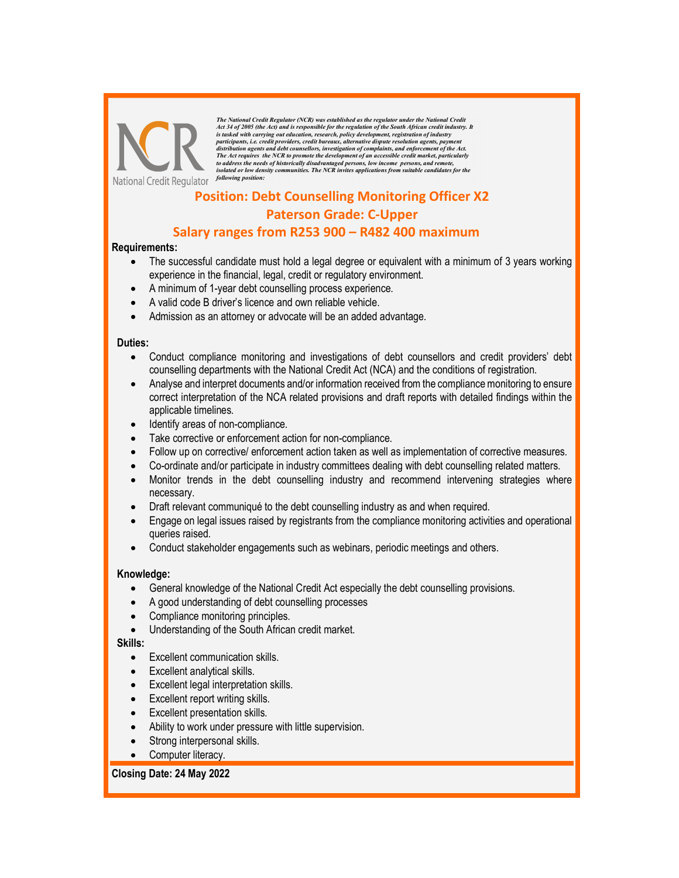

The National Credit Regulator (NCR) was established as the regulator under the National Credit Act 34 of 2005 (the Act) and is responsible for the regulation of the South African credit industry. It<br>is tasked with carrying out education, research, policy development, registration of industry<br>participants, i.e. credi to address the needs of historically disadvantaged persons, low income persons, and remote, isolated or low density communities. The NCR invites applications from suitable candidates for the

# Position: Debt Counselling Monitoring Officer X2 Paterson Grade: C-Upper

# Salary ranges from R253 900 – R482 400 maximum

#### Requirements:

- The successful candidate must hold a legal degree or equivalent with a minimum of 3 years working experience in the financial, legal, credit or regulatory environment.
- A minimum of 1-year debt counselling process experience.
- A valid code B driver's licence and own reliable vehicle.
- Admission as an attorney or advocate will be an added advantage.

#### Duties:

- Conduct compliance monitoring and investigations of debt counsellors and credit providers' debt counselling departments with the National Credit Act (NCA) and the conditions of registration.
- Analyse and interpret documents and/or information received from the compliance monitoring to ensure correct interpretation of the NCA related provisions and draft reports with detailed findings within the applicable timelines.
- Identify areas of non-compliance.
- Take corrective or enforcement action for non-compliance.
- Follow up on corrective/ enforcement action taken as well as implementation of corrective measures.
- Co-ordinate and/or participate in industry committees dealing with debt counselling related matters.
- Monitor trends in the debt counselling industry and recommend intervening strategies where necessary.
- Draft relevant communiqué to the debt counselling industry as and when required.
- Engage on legal issues raised by registrants from the compliance monitoring activities and operational queries raised.
- Conduct stakeholder engagements such as webinars, periodic meetings and others.

## Knowledge:

- General knowledge of the National Credit Act especially the debt counselling provisions.
- A good understanding of debt counselling processes
- Compliance monitoring principles.
- Understanding of the South African credit market.

#### Skills:

- Excellent communication skills.
- Excellent analytical skills.
- Excellent legal interpretation skills.
- Excellent report writing skills.
- Excellent presentation skills.
- Ability to work under pressure with little supervision.
- Strong interpersonal skills.
- Computer literacy.

## Closing Date: 24 May 2022